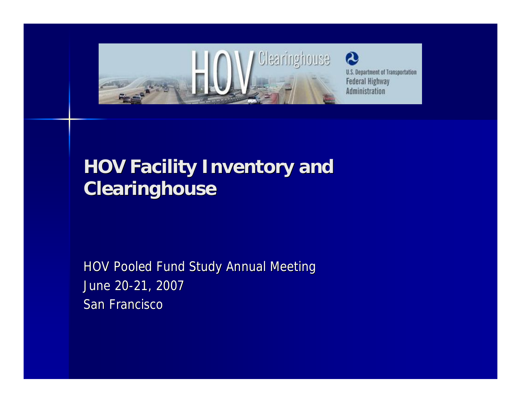

# **HOV Facility Inventory and Clearinghouse**

HOV Pooled Fund Study Annual Meeting June 20-21, 2007 San Francisco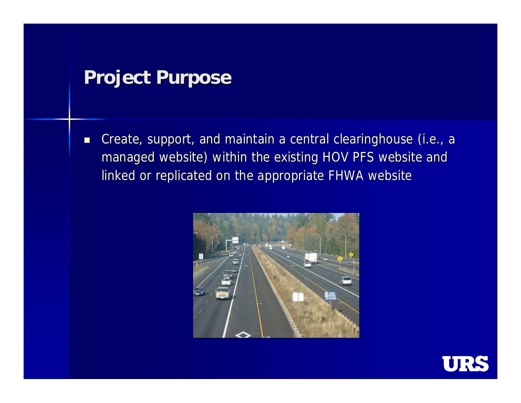# **Project Purpose**

■ Create, support, and maintain a central clearinghouse (i.e., a managed website) within the existing HOV PFS website and linked or replicated on the appropriate FHWA website



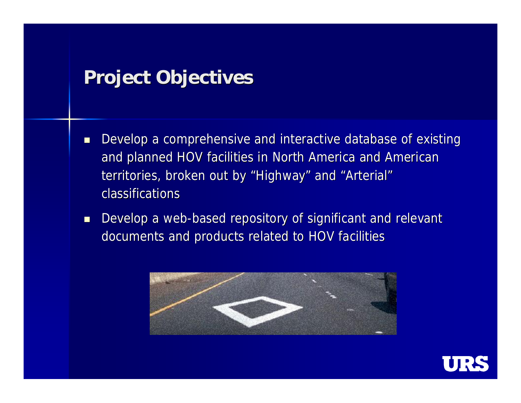## **Project Objectives**

- Develop a comprehensive and interactive database of existing and planned HOV facilities in North America and American territories, broken out by "Highway" and "Arterial" classifications
- Develop a web-based repository of significant and relevant documents and products related to HOV facilities



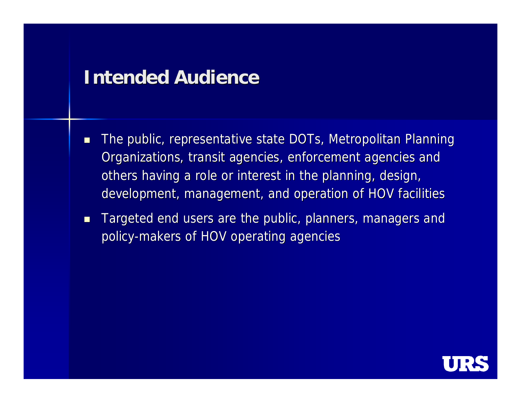### **Intended Audience**

- **The public, representative state DOTs, Metropolitan Planning** Organizations, transit agencies, enforcement agencies and others having a role or interest in the planning, design, development, management, and operation of HOV facilities
- **Targeted end users are the public, planners, managers and** policy-makers of HOV operating agencies

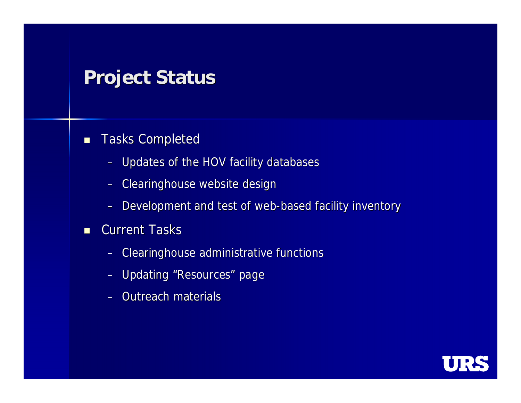# **Project Status**

### **Tasks Completed**

- Updates of the HOV facility databases
- Clearinghouse website design
- Development and test of web-based facility inventory

#### **Current Tasks**

- Clearinghouse administrative functions
- Updating "Resources" page
- $-$  Outreach materials

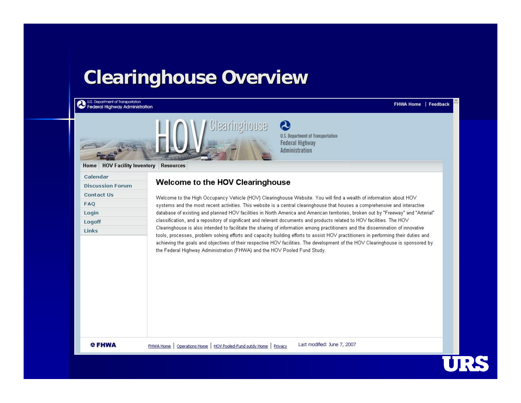## **Clearinghouse Overview**

U.S. Department of Transportation<br>Federal Highway Administration

#### FHWA Home | Feedback



2 **U.S. Department of Transportation Federal Highway Administration** 

Home | HOV Facility Inventory | Resources

| Calendar                |
|-------------------------|
| <b>Discussion Forum</b> |
| <b>Contact Us</b>       |
| <b>FAQ</b>              |
| Login                   |
| Logoff                  |
| Links                   |

#### Welcome to the HOV Clearinghouse

Welcome to the High Occupancy Vehicle (HOV) Clearinghouse Website. You will find a wealth of information about HOV systems and the most recent activities. This website is a central clearinghouse that houses a comprehensive and interactive database of existing and planned HOV facilities in North America and American territories, broken out by "Freeway" and "Arterial" classification, and a repository of significant and relevant documents and products related to HOV facilities. The HOV Clearinghouse is also intended to facilitate the sharing of information among practitioners and the dissemination of innovative tools, processes, problem solving efforts and capacity building efforts to assist HOV practitioners in performing their duties and achieving the goals and objectives of their respective HOV facilities. The development of the HOV Clearinghouse is sponsored by the Federal Highway Administration (FHWA) and the HOV Pooled Fund Study.

**OFHWA** 

Last modified: June 7, 2007 FHWA Home | Operations Home | HOV Pooled-Fund sutdy Home | Privacy

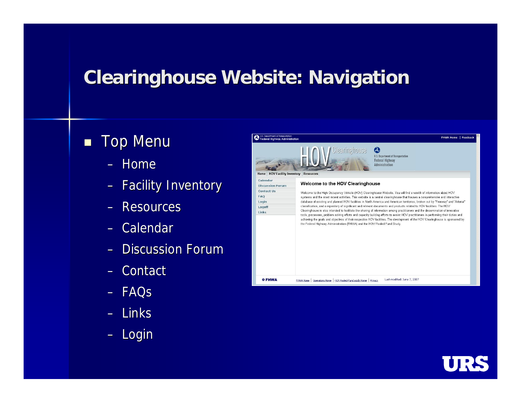# **Clearinghouse Website: Navigation**

### **Top Menu**

- Home
- Facility Inventory
- Resources
- Calendar
- Discussion Forum
- Contact
- FAQs
- Links
- Login



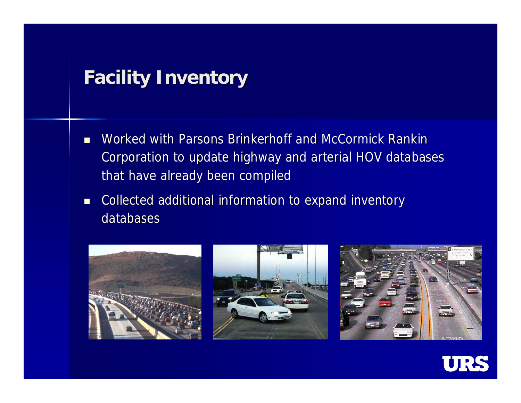# **Facility Inventory**

- Worked with Parsons Brinkerhoff and McCormick Rankin Corporation to update highway and arterial HOV databases that have already been compiled
- **Collected additional information to expand inventory** databases







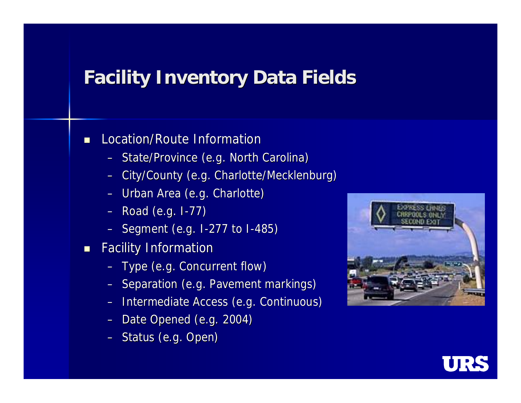# **Facility Inventory Data Fields**

#### **Location/Route Information**

- State/Province (e.g. North Carolina)
- City/County (e.g. Charlotte/Mecklenburg)
- Urban Area (e.g. Charlotte)
- Road (e.g. I-77)
- Segment (e.g. I-277 to I-485)
- **Facility Information** 
	- Type (e.g. Concurrent flow)
	- Separation (e.g. Pavement markings)
	- Intermediate Access (e.g. Continuous)
	- Date Opened (e.g. 2004)
	- Status (e.g. Open)



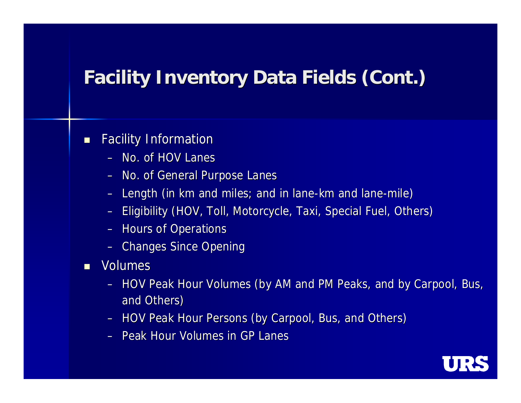# **Facility Inventory Data Fields (Cont.)**

### **Facility Information**

- No. of HOV Lanes
- No. of General Purpose Lanes
- Length (in km and miles; and in lane-km and lane-mile)
- Eligibility (HOV, Toll, Motorcycle, Taxi, Special Fuel, Others)
- Hours of Operations
- Changes Since Opening
- **Nolumes** 
	- HOV Peak Hour Volumes (by AM and PM Peaks, and by Carpool, Bus, and Others) and Others)
	- HOV Peak Hour Persons (by Carpool, Bus, and Others)
	- Peak Hour Volumes in GP Lanes

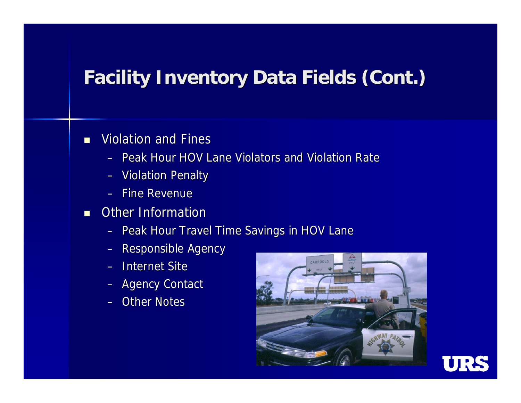# **Facility Inventory Data Fields (Cont.)**

### **Niolation and Fines**

- Peak Hour HOV Lane Violators and Violation Rate
- Violation Penalty
- Fine Revenue
- **C** Other Information
	- Peak Hour Travel Time Savings in HOV Lane
	- Responsible Agency
	- Internet Site
	- Agency Contact
	- Other Notes



URS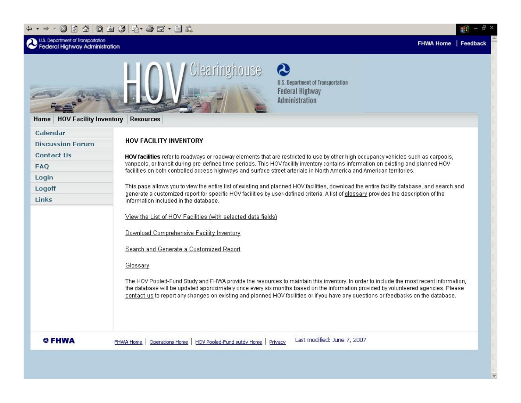#### + - - - 0 0 4 0 & 3 5 + 9 E + 5 K

| U.S. Department of Transportation<br><b>Federal Highway Administration</b> | <b>FHWA Home</b><br>Feed                                                                                                                                                                                                                                                                                                                                                                                          |  |  |  |  |  |  |  |  |  |  |  |  |  |
|----------------------------------------------------------------------------|-------------------------------------------------------------------------------------------------------------------------------------------------------------------------------------------------------------------------------------------------------------------------------------------------------------------------------------------------------------------------------------------------------------------|--|--|--|--|--|--|--|--|--|--|--|--|--|
| <b>HOV Facility Inventory</b><br>Home                                      | ഭ<br>Clearinghouse<br><b>U.S. Department of Transportation</b><br><b>Federal Highway</b><br>Administration<br><b>Resources</b>                                                                                                                                                                                                                                                                                    |  |  |  |  |  |  |  |  |  |  |  |  |  |
| Calendar                                                                   |                                                                                                                                                                                                                                                                                                                                                                                                                   |  |  |  |  |  |  |  |  |  |  |  |  |  |
| <b>Discussion Forum</b>                                                    | HOV FACILITY INVENTORY                                                                                                                                                                                                                                                                                                                                                                                            |  |  |  |  |  |  |  |  |  |  |  |  |  |
| <b>Contact Us</b>                                                          | HOV facilities refer to roadways or roadway elements that are restricted to use by other high occupancy vehicles such as carpools,                                                                                                                                                                                                                                                                                |  |  |  |  |  |  |  |  |  |  |  |  |  |
| FAQ                                                                        | vanpools, or transit during pre-defined time periods. This HOV facility inventory contains information on existing and planned HOV<br>facilities on both controlled access highways and surface street arterials in North America and American territories.                                                                                                                                                       |  |  |  |  |  |  |  |  |  |  |  |  |  |
| Login                                                                      |                                                                                                                                                                                                                                                                                                                                                                                                                   |  |  |  |  |  |  |  |  |  |  |  |  |  |
| Logoff                                                                     | This page allows you to view the entire list of existing and planned HOV facilities, download the entire facility database, and search and<br>generate a customized report for specific HOV facilities by user-defined criteria. A list of glossary provides the description of the                                                                                                                               |  |  |  |  |  |  |  |  |  |  |  |  |  |
| Links                                                                      | information included in the database.                                                                                                                                                                                                                                                                                                                                                                             |  |  |  |  |  |  |  |  |  |  |  |  |  |
|                                                                            | View the List of HOV Facilities (with selected data fields)                                                                                                                                                                                                                                                                                                                                                       |  |  |  |  |  |  |  |  |  |  |  |  |  |
|                                                                            | Download Comprehensive Facility Inventory                                                                                                                                                                                                                                                                                                                                                                         |  |  |  |  |  |  |  |  |  |  |  |  |  |
|                                                                            | Search and Generate a Customized Report                                                                                                                                                                                                                                                                                                                                                                           |  |  |  |  |  |  |  |  |  |  |  |  |  |
|                                                                            | Glossary                                                                                                                                                                                                                                                                                                                                                                                                          |  |  |  |  |  |  |  |  |  |  |  |  |  |
|                                                                            | The HOV Pooled-Fund Study and FHWA provide the resources to maintain this inventory. In order to include the most recent information,<br>the database will be updated approximately once every six months based on the information provided by volunteered agencies. Please<br>contact us to report any changes on existing and planned HOV facilities or if you have any questions or feedbacks on the database. |  |  |  |  |  |  |  |  |  |  |  |  |  |
| O FHWA                                                                     | Last modified: June 7, 2007<br>HOV Pooled-Fund sutdy Home<br>Operations Home<br>Privacy<br>FHWA Home                                                                                                                                                                                                                                                                                                              |  |  |  |  |  |  |  |  |  |  |  |  |  |

翻 -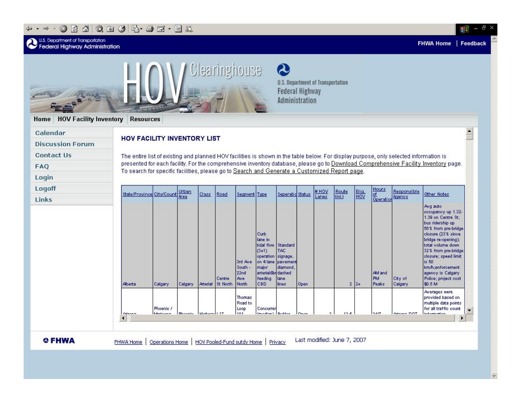#### $\begin{array}{cccccccccccccc} \displaystyle\leftrightarrow\bullet\end{array} \rightarrow \begin{array}{cccccccccccccc} \displaystyle\bullet\end{array} \begin{array}{cccccccccccccc} \displaystyle\bullet\end{array} \begin{array}{cccccccccccccc} \displaystyle\bullet\end{array} \begin{array}{cccccccccccccc} \displaystyle\bullet\end{array} \begin{array}{cccccccccccccc} \displaystyle\bullet\end{array} \begin{array}{cccccccccccccc} \displaystyle\bullet\end{array} \begin{array}{cccccccccccccc} \displaystyle\bullet\end{array} \begin{array}{cccccccccccccc} \displaystyle\bullet\end{array} \begin{array}{cccccccccccccc} \displaystyle\bullet\end{array} \begin{array}{cccccccccccccc} \displaystyle\bullet\$

**U.S. Department of Transporta** 

| <b>HOV Facility Inventory</b><br>Home                                    | <b>Resources</b>                                                                                                                                                                                                                                                                                                                                                                                                                 |                              |         |            |                    | Clearinghouse                              |                                                                                                                            | $\boldsymbol{\Omega}$<br><b>Federal Highway</b><br>Administration           |      | <b>U.S. Department of Transportation</b> |                                 |             |                              |                       |                                                                                                                                                                                                                                                |
|--------------------------------------------------------------------------|----------------------------------------------------------------------------------------------------------------------------------------------------------------------------------------------------------------------------------------------------------------------------------------------------------------------------------------------------------------------------------------------------------------------------------|------------------------------|---------|------------|--------------------|--------------------------------------------|----------------------------------------------------------------------------------------------------------------------------|-----------------------------------------------------------------------------|------|------------------------------------------|---------------------------------|-------------|------------------------------|-----------------------|------------------------------------------------------------------------------------------------------------------------------------------------------------------------------------------------------------------------------------------------|
| Calendar<br><b>Discussion Forum</b><br><b>Contact Us</b><br>FAQ<br>Login | $\blacktriangle$<br>HOV FACILITY INVENTORY LIST<br>The entire list of existing and planned HOV facilities is shown in the table below. For display purpose, only selected information is<br>presented for each facility. For the comprehensive inventory database, please go to Download Comprehensive Facility Inventory page.<br>To search for specific facilities, please go to Search and Generate a Customized Report page. |                              |         |            |                    |                                            |                                                                                                                            |                                                                             |      |                                          |                                 |             |                              |                       |                                                                                                                                                                                                                                                |
| Logoff<br>Links                                                          | State/Province City/Count Urban                                                                                                                                                                                                                                                                                                                                                                                                  |                              |         | Class      | Road               | Segment Type                               |                                                                                                                            | Seperatio Status                                                            |      | <b>HOV</b><br>Lanes                      | Route<br>$\overline{\text{mi}}$ | <b>High</b> | Hours<br>of<br>Operation     | Responsible<br>Agency | Other Notes<br>Avg auto<br>occupancy up 1.32-<br>1.39 on Centre St;                                                                                                                                                                            |
|                                                                          | Alberta                                                                                                                                                                                                                                                                                                                                                                                                                          | Calgary                      | Calgary | Arterial   | Centre<br>St North | 3rd Ave<br>South -<br>22nd<br>Ave<br>North | Curb<br>lane in<br>tidal flow<br>$(3+1)$<br>operation<br>on 4 lane<br>major<br>arterial&bridashed<br>feeding<br><b>CBD</b> | Standard<br><b>TAC</b><br>signage,<br>pavement<br>diamond.<br>lane<br>lines | Open |                                          |                                 | $2 2+$      | AM and<br><b>PM</b><br>Peaks | City of<br>Calgary    | bus ridership up<br>56% from pre-bridge<br>closure (23% since)<br>bridge re-opening);<br>total volume down<br>32% from pre-bridge<br>closure; speed limit<br>is 50<br>km/h;enforcement<br>agency is Calgary<br>Police; project cost<br>\$0.5 M |
|                                                                          | <b>Arinon-</b><br>ч                                                                                                                                                                                                                                                                                                                                                                                                              | Phoenix /<br><b>Miniconn</b> | Bhoonie | Habonal 17 |                    | <b>Thomas</b><br>Road to<br>Loop<br>101    | Concurrer<br>Connational Director                                                                                          |                                                                             | Onon | ۰                                        | 10 K                            |             | loa <i>m</i>                 | Adapted DOT           | Averages were<br>provided based on<br>multiple data points<br>for all traffic count<br>linformation                                                                                                                                            |

翻-日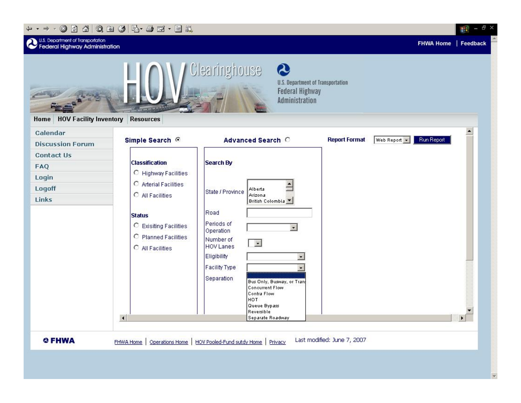#### + - → · ⊙ 0 4 0 ± 3 E + 3 E + E #



甜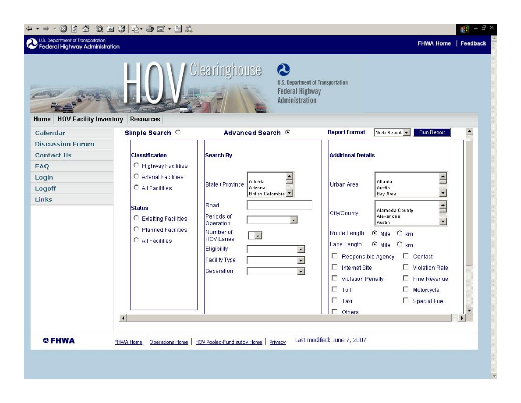#### $+ \rightarrow + \odot$ n a o e g b  $\rightarrow + \odot$ n.

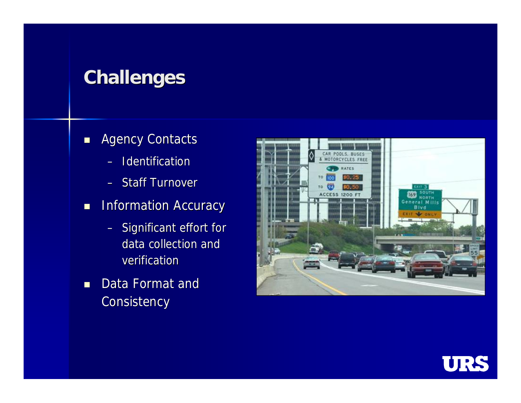# **Challenges**

- **Agency Contacts** 
	- Identification
	- Staff Turnover
- **Information Accuracy** 
	- Significant effort for data collection and verification
- Data Format and **Consistency**



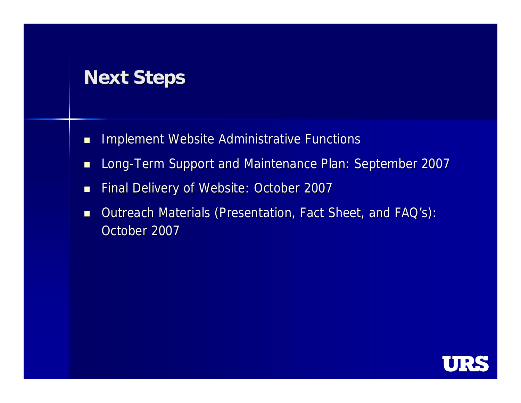# **Next Steps**

- **IMPLEMENT WEBSITE Administrative Functions**
- **Long-Term Support and Maintenance Plan: September 2007**
- **Final Delivery of Website: October 2007**
- Outreach Materials (Presentation, Fact Sheet, and FAQ's): October 2007